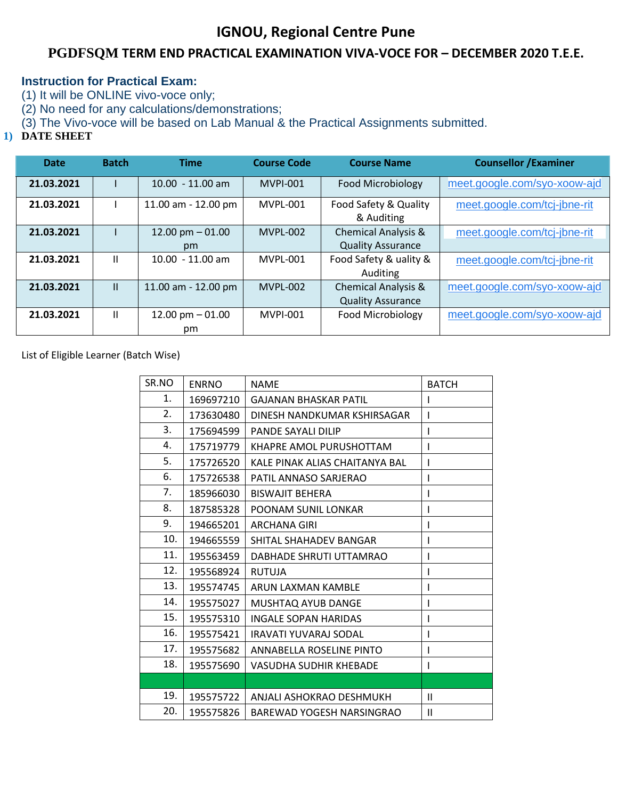## **IGNOU, Regional Centre Pune**

## **PGDFSQM TERM END PRACTICAL EXAMINATION VIVA-VOCE FOR – DECEMBER 2020 T.E.E.**

## **Instruction for Practical Exam:**

(1) It will be ONLINE vivo-voce only;

(2) No need for any calculations/demonstrations;

(3) The Vivo-voce will be based on Lab Manual & the Practical Assignments submitted.

## **1) DATE SHEET**

| <b>Date</b> | <b>Batch</b>  | <b>Time</b>             | <b>Course Code</b> | <b>Course Name</b>                                         | <b>Counsellor / Examiner</b> |
|-------------|---------------|-------------------------|--------------------|------------------------------------------------------------|------------------------------|
| 21.03.2021  |               | $10.00 - 11.00$ am      | <b>MVPI-001</b>    | <b>Food Microbiology</b>                                   | meet.google.com/syo-xoow-ajd |
| 21.03.2021  |               | 11.00 am - 12.00 pm     | MVPL-001           | Food Safety & Quality<br>& Auditing                        | meet.google.com/tcj-jbne-rit |
| 21.03.2021  |               | 12.00 pm $-01.00$<br>pm | <b>MVPL-002</b>    | <b>Chemical Analysis &amp;</b><br><b>Quality Assurance</b> | meet.google.com/tcj-jbne-rit |
| 21.03.2021  | $\mathbf{H}$  | $10.00 - 11.00$ am      | MVPL-001           | Food Safety & uality &<br>Auditing                         | meet.google.com/tcj-jbne-rit |
| 21.03.2021  | $\mathbf{II}$ | 11.00 am - 12.00 pm     | <b>MVPL-002</b>    | <b>Chemical Analysis &amp;</b><br><b>Quality Assurance</b> | meet.google.com/syo-xoow-ajd |
| 21.03.2021  | Ш             | 12.00 pm $-01.00$<br>pm | <b>MVPI-001</b>    | Food Microbiology                                          | meet.google.com/syo-xoow-ajd |

List of Eligible Learner (Batch Wise)

| SR.NO | <b>ENRNO</b> | <b>NAME</b>                    | <b>BATCH</b> |
|-------|--------------|--------------------------------|--------------|
| 1.    | 169697210    | <b>GAJANAN BHASKAR PATIL</b>   |              |
| 2.    | 173630480    | DINESH NANDKUMAR KSHIRSAGAR    |              |
| 3.    | 175694599    | <b>PANDE SAYALI DILIP</b>      | I            |
| 4.    | 175719779    | KHAPRE AMOL PURUSHOTTAM        |              |
| 5.    | 175726520    | KALE PINAK ALIAS CHAITANYA BAL |              |
| 6.    | 175726538    | PATIL ANNASO SARJERAO          |              |
| 7.    | 185966030    | <b>BISWAJIT BEHERA</b>         |              |
| 8.    | 187585328    | POONAM SUNIL LONKAR            |              |
| 9.    | 194665201    | <b>ARCHANA GIRI</b>            |              |
| 10.   | 194665559    | SHITAL SHAHADEV BANGAR         | ı            |
| 11.   | 195563459    | DABHADE SHRUTI UTTAMRAO        |              |
| 12.   | 195568924    | <b>RUTUJA</b>                  |              |
| 13.   | 195574745    | ARUN LAXMAN KAMBLE             |              |
| 14.   | 195575027    | MUSHTAQ AYUB DANGE             |              |
| 15.   | 195575310    | <b>INGALE SOPAN HARIDAS</b>    |              |
| 16.   | 195575421    | <b>IRAVATI YUVARAJ SODAL</b>   | ı            |
| 17.   | 195575682    | ANNABELLA ROSELINE PINTO       | ı            |
| 18.   | 195575690    | VASUDHA SUDHIR KHEBADE         | I            |
|       |              |                                |              |
| 19.   | 195575722    | ANJALI ASHOKRAO DESHMUKH       | $\mathbf{H}$ |
| 20.   | 195575826    | BAREWAD YOGESH NARSINGRAO      | Ш            |